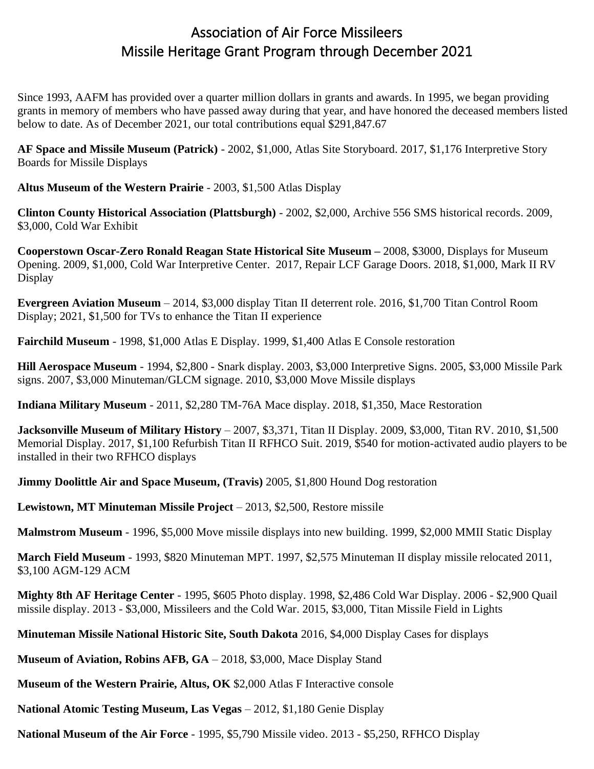## Association of Air Force Missileers Missile Heritage Grant Program through December 2021

Since 1993, AAFM has provided over a quarter million dollars in grants and awards. In 1995, we began providing grants in memory of members who have passed away during that year, and have honored the deceased members listed below to date. As of December 2021, our total contributions equal \$291,847.67

**AF Space and Missile Museum (Patrick)** - 2002, \$1,000, Atlas Site Storyboard. 2017, \$1,176 Interpretive Story Boards for Missile Displays

**Altus Museum of the Western Prairie** - 2003, \$1,500 Atlas Display

**Clinton County Historical Association (Plattsburgh)** - 2002, \$2,000, Archive 556 SMS historical records. 2009, \$3,000, Cold War Exhibit

**Cooperstown Oscar-Zero Ronald Reagan State Historical Site Museum –** 2008, \$3000, Displays for Museum Opening. 2009, \$1,000, Cold War Interpretive Center. 2017, Repair LCF Garage Doors. 2018, \$1,000, Mark II RV **Display** 

**Evergreen Aviation Museum** – 2014, \$3,000 display Titan II deterrent role. 2016, \$1,700 Titan Control Room Display; 2021, \$1,500 for TVs to enhance the Titan II experience

**Fairchild Museum** - 1998, \$1,000 Atlas E Display. 1999, \$1,400 Atlas E Console restoration

**Hill Aerospace Museum** - 1994, \$2,800 - Snark display. 2003, \$3,000 Interpretive Signs. 2005, \$3,000 Missile Park signs. 2007, \$3,000 Minuteman/GLCM signage. 2010, \$3,000 Move Missile displays

**Indiana Military Museum** - 2011, \$2,280 TM-76A Mace display. 2018, \$1,350, Mace Restoration

**Jacksonville Museum of Military History** – 2007, \$3,371, Titan II Display. 2009, \$3,000, Titan RV. 2010, \$1,500 Memorial Display. 2017, \$1,100 Refurbish Titan II RFHCO Suit. 2019, \$540 for motion-activated audio players to be installed in their two RFHCO displays

**Jimmy Doolittle Air and Space Museum, (Travis)** 2005, \$1,800 Hound Dog restoration

**Lewistown, MT Minuteman Missile Project** – 2013, \$2,500, Restore missile

**Malmstrom Museum** - 1996, \$5,000 Move missile displays into new building. 1999, \$2,000 MMII Static Display

**March Field Museum** - 1993, \$820 Minuteman MPT. 1997, \$2,575 Minuteman II display missile relocated 2011, \$3,100 AGM-129 ACM

**Mighty 8th AF Heritage Center** - 1995, \$605 Photo display. 1998, \$2,486 Cold War Display. 2006 - \$2,900 Quail missile display. 2013 - \$3,000, Missileers and the Cold War. 2015, \$3,000, Titan Missile Field in Lights

**Minuteman Missile National Historic Site, South Dakota** 2016, \$4,000 Display Cases for displays

**Museum of Aviation, Robins AFB, GA** – 2018, \$3,000, Mace Display Stand

**Museum of the Western Prairie, Altus, OK** \$2,000 Atlas F Interactive console

**National Atomic Testing Museum, Las Vegas** – 2012, \$1,180 Genie Display

**National Museum of the Air Force** - 1995, \$5,790 Missile video. 2013 - \$5,250, RFHCO Display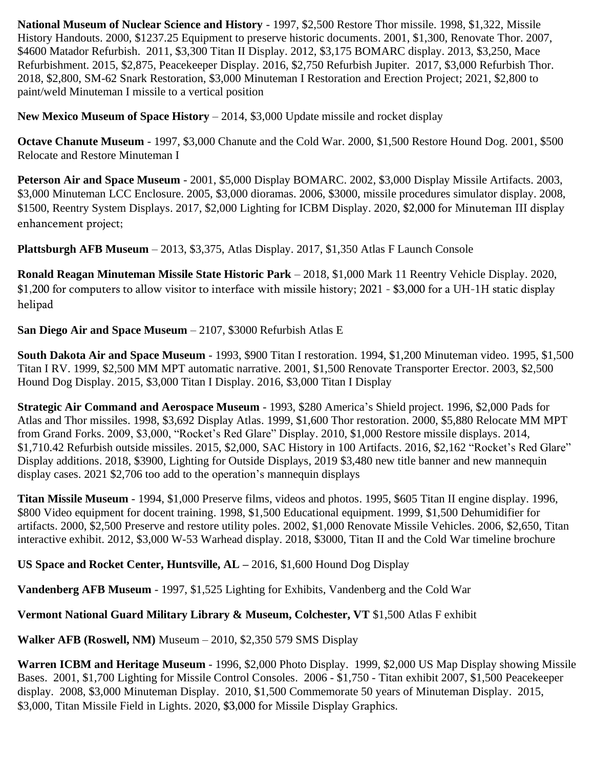**National Museum of Nuclear Science and History** - 1997, \$2,500 Restore Thor missile. 1998, \$1,322, Missile History Handouts. 2000, \$1237.25 Equipment to preserve historic documents. 2001, \$1,300, Renovate Thor. 2007, \$4600 Matador Refurbish. 2011, \$3,300 Titan II Display. 2012, \$3,175 BOMARC display. 2013, \$3,250, Mace Refurbishment. 2015, \$2,875, Peacekeeper Display. 2016, \$2,750 Refurbish Jupiter. 2017, \$3,000 Refurbish Thor. 2018, \$2,800, SM-62 Snark Restoration, \$3,000 Minuteman I Restoration and Erection Project; 2021, \$2,800 to paint/weld Minuteman I missile to a vertical position

**New Mexico Museum of Space History** – 2014, \$3,000 Update missile and rocket display

**Octave Chanute Museum** - 1997, \$3,000 Chanute and the Cold War. 2000, \$1,500 Restore Hound Dog. 2001, \$500 Relocate and Restore Minuteman I

**Peterson Air and Space Museum** - 2001, \$5,000 Display BOMARC. 2002, \$3,000 Display Missile Artifacts. 2003, \$3,000 Minuteman LCC Enclosure. 2005, \$3,000 dioramas. 2006, \$3000, missile procedures simulator display. 2008, \$1500, Reentry System Displays. 2017, \$2,000 Lighting for ICBM Display. 2020, \$2,000 for Minuteman III display enhancement project;

**Plattsburgh AFB Museum** – 2013, \$3,375, Atlas Display. 2017, \$1,350 Atlas F Launch Console

**Ronald Reagan Minuteman Missile State Historic Park** – 2018, \$1,000 Mark 11 Reentry Vehicle Display. 2020, \$1,200 for computers to allow visitor to interface with missile history; 2021 - \$3,000 for a UH-1H static display helipad

## **San Diego Air and Space Museum** – 2107, \$3000 Refurbish Atlas E

**South Dakota Air and Space Museum** - 1993, \$900 Titan I restoration. 1994, \$1,200 Minuteman video. 1995, \$1,500 Titan I RV. 1999, \$2,500 MM MPT automatic narrative. 2001, \$1,500 Renovate Transporter Erector. 2003, \$2,500 Hound Dog Display. 2015, \$3,000 Titan I Display. 2016, \$3,000 Titan I Display

**Strategic Air Command and Aerospace Museum** - 1993, \$280 America's Shield project. 1996, \$2,000 Pads for Atlas and Thor missiles. 1998, \$3,692 Display Atlas. 1999, \$1,600 Thor restoration. 2000, \$5,880 Relocate MM MPT from Grand Forks. 2009, \$3,000, "Rocket's Red Glare" Display. 2010, \$1,000 Restore missile displays. 2014, \$1,710.42 Refurbish outside missiles. 2015, \$2,000, SAC History in 100 Artifacts. 2016, \$2,162 "Rocket's Red Glare" Display additions. 2018, \$3900, Lighting for Outside Displays, 2019 \$3,480 new title banner and new mannequin display cases. 2021 \$2,706 too add to the operation's mannequin displays

**Titan Missile Museum** - 1994, \$1,000 Preserve films, videos and photos. 1995, \$605 Titan II engine display. 1996, \$800 Video equipment for docent training. 1998, \$1,500 Educational equipment. 1999, \$1,500 Dehumidifier for artifacts. 2000, \$2,500 Preserve and restore utility poles. 2002, \$1,000 Renovate Missile Vehicles. 2006, \$2,650, Titan interactive exhibit. 2012, \$3,000 W-53 Warhead display. 2018, \$3000, Titan II and the Cold War timeline brochure

**US Space and Rocket Center, Huntsville, AL –** 2016, \$1,600 Hound Dog Display

**Vandenberg AFB Museum** - 1997, \$1,525 Lighting for Exhibits, Vandenberg and the Cold War

**Vermont National Guard Military Library & Museum, Colchester, VT** \$1,500 Atlas F exhibit

**Walker AFB (Roswell, NM)** Museum – 2010, \$2,350 579 SMS Display

**Warren ICBM and Heritage Museum** - 1996, \$2,000 Photo Display. 1999, \$2,000 US Map Display showing Missile Bases. 2001, \$1,700 Lighting for Missile Control Consoles. 2006 - \$1,750 - Titan exhibit 2007, \$1,500 Peacekeeper display. 2008, \$3,000 Minuteman Display. 2010, \$1,500 Commemorate 50 years of Minuteman Display. 2015, \$3,000, Titan Missile Field in Lights. 2020, \$3,000 for Missile Display Graphics.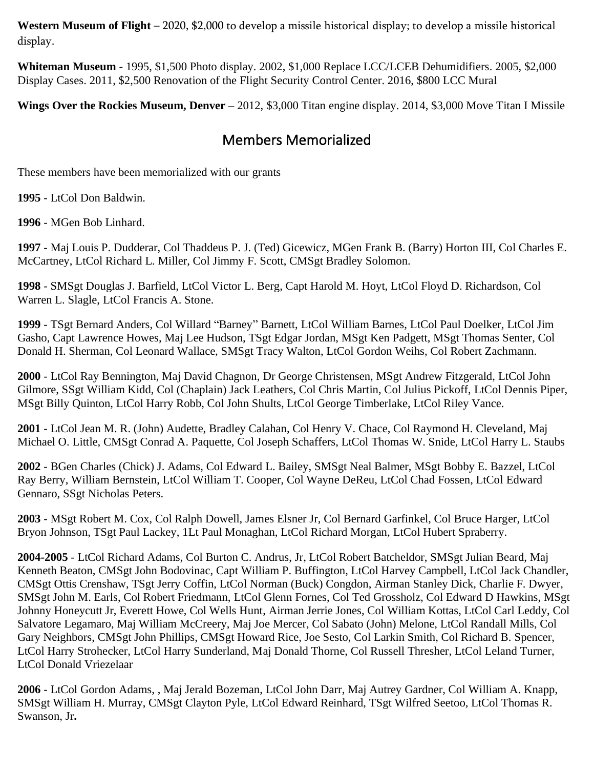**Western Museum of Flight** – 2020, \$2,000 to develop a missile historical display; to develop a missile historical display.

**Whiteman Museum** - 1995, \$1,500 Photo display. 2002, \$1,000 Replace LCC/LCEB Dehumidifiers. 2005, \$2,000 Display Cases. 2011, \$2,500 Renovation of the Flight Security Control Center. 2016, \$800 LCC Mural

**Wings Over the Rockies Museum, Denver** – 2012, \$3,000 Titan engine display. 2014, \$3,000 Move Titan I Missile

## Members Memorialized

These members have been memorialized with our grants

**1995** - LtCol Don Baldwin.

**1996** - MGen Bob Linhard.

**1997** - Maj Louis P. Dudderar, Col Thaddeus P. J. (Ted) Gicewicz, MGen Frank B. (Barry) Horton III, Col Charles E. McCartney, LtCol Richard L. Miller, Col Jimmy F. Scott, CMSgt Bradley Solomon.

**1998** - SMSgt Douglas J. Barfield, LtCol Victor L. Berg, Capt Harold M. Hoyt, LtCol Floyd D. Richardson, Col Warren L. Slagle, LtCol Francis A. Stone.

**1999** - TSgt Bernard Anders, Col Willard "Barney" Barnett, LtCol William Barnes, LtCol Paul Doelker, LtCol Jim Gasho, Capt Lawrence Howes, Maj Lee Hudson, TSgt Edgar Jordan, MSgt Ken Padgett, MSgt Thomas Senter, Col Donald H. Sherman, Col Leonard Wallace, SMSgt Tracy Walton, LtCol Gordon Weihs, Col Robert Zachmann.

**2000** - LtCol Ray Bennington, Maj David Chagnon, Dr George Christensen, MSgt Andrew Fitzgerald, LtCol John Gilmore, SSgt William Kidd, Col (Chaplain) Jack Leathers, Col Chris Martin, Col Julius Pickoff, LtCol Dennis Piper, MSgt Billy Quinton, LtCol Harry Robb, Col John Shults, LtCol George Timberlake, LtCol Riley Vance.

**2001** - LtCol Jean M. R. (John) Audette, Bradley Calahan, Col Henry V. Chace, Col Raymond H. Cleveland, Maj Michael O. Little, CMSgt Conrad A. Paquette, Col Joseph Schaffers, LtCol Thomas W. Snide, LtCol Harry L. Staubs

**2002** - BGen Charles (Chick) J. Adams, Col Edward L. Bailey, SMSgt Neal Balmer, MSgt Bobby E. Bazzel, LtCol Ray Berry, William Bernstein, LtCol William T. Cooper, Col Wayne DeReu, LtCol Chad Fossen, LtCol Edward Gennaro, SSgt Nicholas Peters.

**2003** - MSgt Robert M. Cox, Col Ralph Dowell, James Elsner Jr, Col Bernard Garfinkel, Col Bruce Harger, LtCol Bryon Johnson, TSgt Paul Lackey, 1Lt Paul Monaghan, LtCol Richard Morgan, LtCol Hubert Spraberry.

**2004-2005** - LtCol Richard Adams, Col Burton C. Andrus, Jr, LtCol Robert Batcheldor, SMSgt Julian Beard, Maj Kenneth Beaton, CMSgt John Bodovinac, Capt William P. Buffington, LtCol Harvey Campbell, LtCol Jack Chandler, CMSgt Ottis Crenshaw, TSgt Jerry Coffin, LtCol Norman (Buck) Congdon, Airman Stanley Dick, Charlie F. Dwyer, SMSgt John M. Earls, Col Robert Friedmann, LtCol Glenn Fornes, Col Ted Grossholz, Col Edward D Hawkins, MSgt Johnny Honeycutt Jr, Everett Howe, Col Wells Hunt, Airman Jerrie Jones, Col William Kottas, LtCol Carl Leddy, Col Salvatore Legamaro, Maj William McCreery, Maj Joe Mercer, Col Sabato (John) Melone, LtCol Randall Mills, Col Gary Neighbors, CMSgt John Phillips, CMSgt Howard Rice, Joe Sesto, Col Larkin Smith, Col Richard B. Spencer, LtCol Harry Strohecker, LtCol Harry Sunderland, Maj Donald Thorne, Col Russell Thresher, LtCol Leland Turner, LtCol Donald Vriezelaar

**2006** - LtCol Gordon Adams, , Maj Jerald Bozeman, LtCol John Darr, Maj Autrey Gardner, Col William A. Knapp, SMSgt William H. Murray, CMSgt Clayton Pyle, LtCol Edward Reinhard, TSgt Wilfred Seetoo, LtCol Thomas R. Swanson, Jr**.**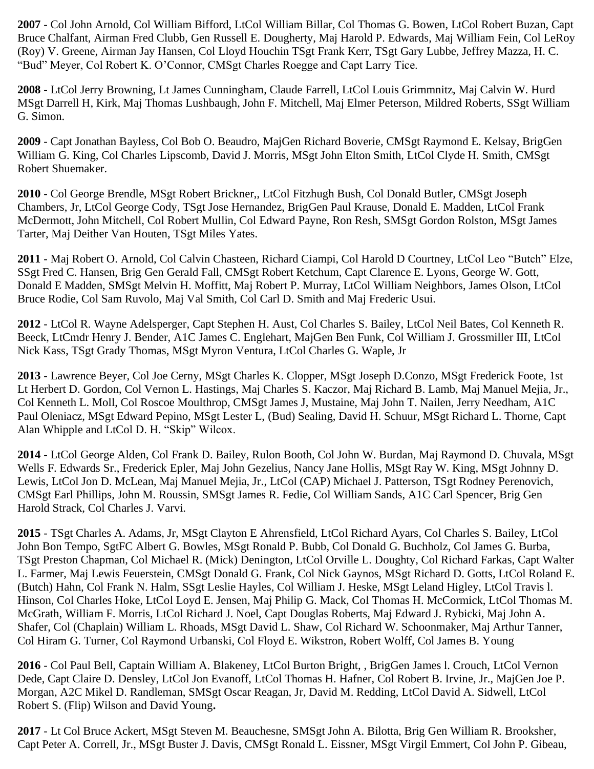**2007** - Col John Arnold, Col William Bifford, LtCol William Billar, Col Thomas G. Bowen, LtCol Robert Buzan, Capt Bruce Chalfant, Airman Fred Clubb, Gen Russell E. Dougherty, Maj Harold P. Edwards, Maj William Fein, Col LeRoy (Roy) V. Greene, Airman Jay Hansen, Col Lloyd Houchin TSgt Frank Kerr, TSgt Gary Lubbe, Jeffrey Mazza, H. C. "Bud" Meyer, Col Robert K. O'Connor, CMSgt Charles Roegge and Capt Larry Tice.

**2008** - LtCol Jerry Browning, Lt James Cunningham, Claude Farrell, LtCol Louis Grimmnitz, Maj Calvin W. Hurd MSgt Darrell H, Kirk, Maj Thomas Lushbaugh, John F. Mitchell, Maj Elmer Peterson, Mildred Roberts, SSgt William G. Simon.

**2009** - Capt Jonathan Bayless, Col Bob O. Beaudro, MajGen Richard Boverie, CMSgt Raymond E. Kelsay, BrigGen William G. King, Col Charles Lipscomb, David J. Morris, MSgt John Elton Smith, LtCol Clyde H. Smith, CMSgt Robert Shuemaker.

**2010** - Col George Brendle, MSgt Robert Brickner,, LtCol Fitzhugh Bush, Col Donald Butler, CMSgt Joseph Chambers, Jr, LtCol George Cody, TSgt Jose Hernandez, BrigGen Paul Krause, Donald E. Madden, LtCol Frank McDermott, John Mitchell, Col Robert Mullin, Col Edward Payne, Ron Resh, SMSgt Gordon Rolston, MSgt James Tarter, Maj Deither Van Houten, TSgt Miles Yates.

**2011** - Maj Robert O. Arnold, Col Calvin Chasteen, Richard Ciampi, Col Harold D Courtney, LtCol Leo "Butch" Elze, SSgt Fred C. Hansen, Brig Gen Gerald Fall, CMSgt Robert Ketchum, Capt Clarence E. Lyons, George W. Gott, Donald E Madden, SMSgt Melvin H. Moffitt, Maj Robert P. Murray, LtCol William Neighbors, James Olson, LtCol Bruce Rodie, Col Sam Ruvolo, Maj Val Smith, Col Carl D. Smith and Maj Frederic Usui.

**2012** - LtCol R. Wayne Adelsperger, Capt Stephen H. Aust, Col Charles S. Bailey, LtCol Neil Bates, Col Kenneth R. Beeck, LtCmdr Henry J. Bender, A1C James C. Englehart, MajGen Ben Funk, Col William J. Grossmiller III, LtCol Nick Kass, TSgt Grady Thomas, MSgt Myron Ventura, LtCol Charles G. Waple, Jr

**2013** - Lawrence Beyer, Col Joe Cerny, MSgt Charles K. Clopper, MSgt Joseph D.Conzo, MSgt Frederick Foote, 1st Lt Herbert D. Gordon, Col Vernon L. Hastings, Maj Charles S. Kaczor, Maj Richard B. Lamb, Maj Manuel Mejia, Jr., Col Kenneth L. Moll, Col Roscoe Moulthrop, CMSgt James J, Mustaine, Maj John T. Nailen, Jerry Needham, A1C Paul Oleniacz, MSgt Edward Pepino, MSgt Lester L, (Bud) Sealing, David H. Schuur, MSgt Richard L. Thorne, Capt Alan Whipple and LtCol D. H. "Skip" Wilcox.

**2014** - LtCol George Alden, Col Frank D. Bailey, Rulon Booth, Col John W. Burdan, Maj Raymond D. Chuvala, MSgt Wells F. Edwards Sr., Frederick Epler, Maj John Gezelius, Nancy Jane Hollis, MSgt Ray W. King, MSgt Johnny D. Lewis, LtCol Jon D. McLean, Maj Manuel Mejia, Jr., LtCol (CAP) Michael J. Patterson, TSgt Rodney Perenovich, CMSgt Earl Phillips, John M. Roussin, SMSgt James R. Fedie, Col William Sands, A1C Carl Spencer, Brig Gen Harold Strack, Col Charles J. Varvi.

**2015** - TSgt Charles A. Adams, Jr, MSgt Clayton E Ahrensfield, LtCol Richard Ayars, Col Charles S. Bailey, LtCol John Bon Tempo, SgtFC Albert G. Bowles, MSgt Ronald P. Bubb, Col Donald G. Buchholz, Col James G. Burba, TSgt Preston Chapman, Col Michael R. (Mick) Denington, LtCol Orville L. Doughty, Col Richard Farkas, Capt Walter L. Farmer, Maj Lewis Feuerstein, CMSgt Donald G. Frank, Col Nick Gaynos, MSgt Richard D. Gotts, LtCol Roland E. (Butch) Hahn, Col Frank N. Halm, SSgt Leslie Hayles, Col William J. Heske, MSgt Leland Higley, LtCol Travis l. Hinson, Col Charles Hoke, LtCol Loyd E. Jensen, Maj Philip G. Mack, Col Thomas H. McCormick, LtCol Thomas M. McGrath, William F. Morris, LtCol Richard J. Noel, Capt Douglas Roberts, Maj Edward J. Rybicki, Maj John A. Shafer, Col (Chaplain) William L. Rhoads, MSgt David L. Shaw, Col Richard W. Schoonmaker, Maj Arthur Tanner, Col Hiram G. Turner, Col Raymond Urbanski, Col Floyd E. Wikstron, Robert Wolff, Col James B. Young

**2016** - Col Paul Bell, Captain William A. Blakeney, LtCol Burton Bright, , BrigGen James l. Crouch, LtCol Vernon Dede, Capt Claire D. Densley, LtCol Jon Evanoff, LtCol Thomas H. Hafner, Col Robert B. Irvine, Jr., MajGen Joe P. Morgan, A2C Mikel D. Randleman, SMSgt Oscar Reagan, Jr, David M. Redding, LtCol David A. Sidwell, LtCol Robert S. (Flip) Wilson and David Young**.**

**2017** - Lt Col Bruce Ackert, MSgt Steven M. Beauchesne, SMSgt John A. Bilotta, Brig Gen William R. Brooksher, Capt Peter A. Correll, Jr., MSgt Buster J. Davis, CMSgt Ronald L. Eissner, MSgt Virgil Emmert, Col John P. Gibeau,